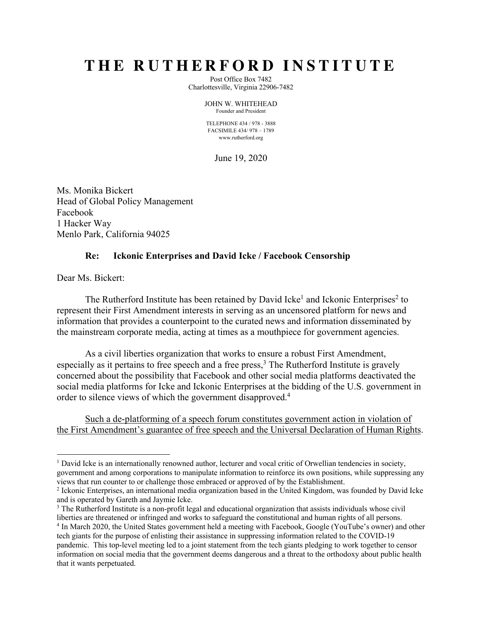# **THE RUTHERFORD INSTITUTE**

Post Office Box 7482 Charlottesville, Virginia 22906-7482

> JOHN W. WHITEHEAD Founder and President

TELEPHONE 434 / 978 - 3888 FACSIMILE 434/ 978 – 1789 www.rutherford.org

June 19, 2020

Ms. Monika Bickert Head of Global Policy Management Facebook 1 Hacker Way Menlo Park, California 94025

## **Re: Ickonic Enterprises and David Icke / Facebook Censorship**

Dear Ms. Bickert:

The Rutherford Institute has been retained by David Icke<sup>1</sup> and Ickonic Enterprises<sup>2</sup> to represent their First Amendment interests in serving as an uncensored platform for news and information that provides a counterpoint to the curated news and information disseminated by the mainstream corporate media, acting at times as a mouthpiece for government agencies.

As a civil liberties organization that works to ensure a robust First Amendment, especially as it pertains to free speech and a free press,  $3$  The Rutherford Institute is gravely concerned about the possibility that Facebook and other social media platforms deactivated the social media platforms for Icke and Ickonic Enterprises at the bidding of the U.S. government in order to silence views of which the government disapproved.4

Such a de-platforming of a speech forum constitutes government action in violation of the First Amendment's guarantee of free speech and the Universal Declaration of Human Rights.

<sup>&</sup>lt;sup>1</sup> David Icke is an internationally renowned author, lecturer and vocal critic of Orwellian tendencies in society, government and among corporations to manipulate information to reinforce its own positions, while suppressing any views that run counter to or challenge those embraced or approved of by the Establishment.

<sup>&</sup>lt;sup>2</sup> Ickonic Enterprises, an international media organization based in the United Kingdom, was founded by David Icke and is operated by Gareth and Jaymie Icke.

<sup>&</sup>lt;sup>3</sup> The Rutherford Institute is a non-profit legal and educational organization that assists individuals whose civil liberties are threatened or infringed and works to safeguard the constitutional and human rights of all persons. <sup>4</sup> In March 2020, the United States government held a meeting with Facebook, Google (YouTube's owner) and other tech giants for the purpose of enlisting their assistance in suppressing information related to the COVID-19 pandemic. This top-level meeting led to a joint statement from the tech giants pledging to work together to censor information on social media that the government deems dangerous and a threat to the orthodoxy about public health that it wants perpetuated.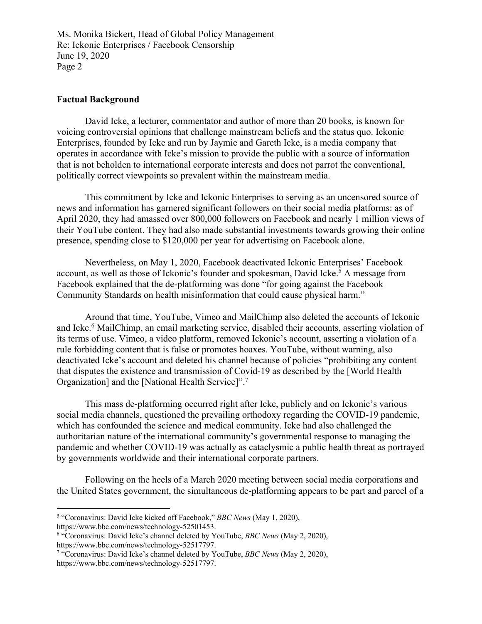## **Factual Background**

David Icke, a lecturer, commentator and author of more than 20 books, is known for voicing controversial opinions that challenge mainstream beliefs and the status quo. Ickonic Enterprises, founded by Icke and run by Jaymie and Gareth Icke, is a media company that operates in accordance with Icke's mission to provide the public with a source of information that is not beholden to international corporate interests and does not parrot the conventional, politically correct viewpoints so prevalent within the mainstream media.

This commitment by Icke and Ickonic Enterprises to serving as an uncensored source of news and information has garnered significant followers on their social media platforms: as of April 2020, they had amassed over 800,000 followers on Facebook and nearly 1 million views of their YouTube content. They had also made substantial investments towards growing their online presence, spending close to \$120,000 per year for advertising on Facebook alone.

Nevertheless, on May 1, 2020, Facebook deactivated Ickonic Enterprises' Facebook account, as well as those of Ickonic's founder and spokesman, David Icke.<sup>5</sup> A message from Facebook explained that the de-platforming was done "for going against the Facebook Community Standards on health misinformation that could cause physical harm."

Around that time, YouTube, Vimeo and MailChimp also deleted the accounts of Ickonic and Icke.<sup>6</sup> MailChimp, an email marketing service, disabled their accounts, asserting violation of its terms of use. Vimeo, a video platform, removed Ickonic's account, asserting a violation of a rule forbidding content that is false or promotes hoaxes. YouTube, without warning, also deactivated Icke's account and deleted his channel because of policies "prohibiting any content that disputes the existence and transmission of Covid-19 as described by the [World Health Organization] and the [National Health Service]".7

This mass de-platforming occurred right after Icke, publicly and on Ickonic's various social media channels, questioned the prevailing orthodoxy regarding the COVID-19 pandemic, which has confounded the science and medical community. Icke had also challenged the authoritarian nature of the international community's governmental response to managing the pandemic and whether COVID-19 was actually as cataclysmic a public health threat as portrayed by governments worldwide and their international corporate partners.

Following on the heels of a March 2020 meeting between social media corporations and the United States government, the simultaneous de-platforming appears to be part and parcel of a

<sup>5</sup> "Coronavirus: David Icke kicked off Facebook," *BBC News* (May 1, 2020),

https://www.bbc.com/news/technology-52501453.

<sup>6</sup> "Coronavirus: David Icke's channel deleted by YouTube, *BBC News* (May 2, 2020), https://www.bbc.com/news/technology-52517797.

<sup>7</sup> "Coronavirus: David Icke's channel deleted by YouTube, *BBC News* (May 2, 2020), https://www.bbc.com/news/technology-52517797.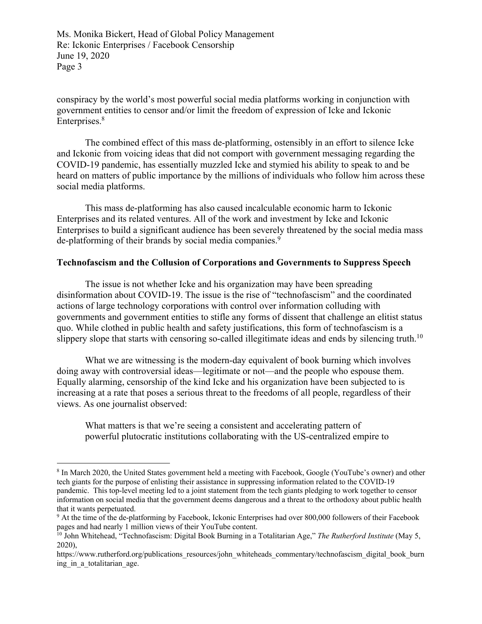conspiracy by the world's most powerful social media platforms working in conjunction with government entities to censor and/or limit the freedom of expression of Icke and Ickonic Enterprises. 8

The combined effect of this mass de-platforming, ostensibly in an effort to silence Icke and Ickonic from voicing ideas that did not comport with government messaging regarding the COVID-19 pandemic, has essentially muzzled Icke and stymied his ability to speak to and be heard on matters of public importance by the millions of individuals who follow him across these social media platforms.

This mass de-platforming has also caused incalculable economic harm to Ickonic Enterprises and its related ventures. All of the work and investment by Icke and Ickonic Enterprises to build a significant audience has been severely threatened by the social media mass de-platforming of their brands by social media companies.<sup>9</sup>

## **Technofascism and the Collusion of Corporations and Governments to Suppress Speech**

The issue is not whether Icke and his organization may have been spreading disinformation about COVID-19. The issue is the rise of "technofascism" and the coordinated actions of large technology corporations with control over information colluding with governments and government entities to stifle any forms of dissent that challenge an elitist status quo. While clothed in public health and safety justifications, this form of technofascism is a slippery slope that starts with censoring so-called illegitimate ideas and ends by silencing truth.<sup>10</sup>

What we are witnessing is the modern-day equivalent of book burning which involves doing away with controversial ideas—legitimate or not—and the people who espouse them. Equally alarming, censorship of the kind Icke and his organization have been subjected to is increasing at a rate that poses a serious threat to the freedoms of all people, regardless of their views. As one journalist observed:

What matters is that we're seeing a consistent and accelerating pattern of powerful plutocratic institutions collaborating with the US-centralized empire to

<sup>8</sup> In March 2020, the United States government held a meeting with Facebook, Google (YouTube's owner) and other tech giants for the purpose of enlisting their assistance in suppressing information related to the COVID-19 pandemic. This top-level meeting led to a joint statement from the tech giants pledging to work together to censor information on social media that the government deems dangerous and a threat to the orthodoxy about public health that it wants perpetuated.

<sup>9</sup> At the time of the de-platforming by Facebook, Ickonic Enterprises had over 800,000 followers of their Facebook pages and had nearly 1 million views of their YouTube content.

<sup>10</sup> John Whitehead, "Technofascism: Digital Book Burning in a Totalitarian Age," *The Rutherford Institute* (May 5, 2020),

https://www.rutherford.org/publications\_resources/john\_whiteheads\_commentary/technofascism\_digital\_book\_burn ing in a totalitarian age.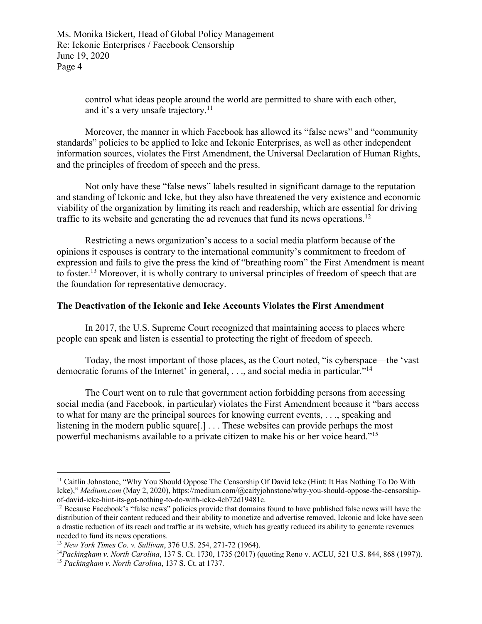> control what ideas people around the world are permitted to share with each other, and it's a very unsafe trajectory.<sup>11</sup>

Moreover, the manner in which Facebook has allowed its "false news" and "community standards" policies to be applied to Icke and Ickonic Enterprises, as well as other independent information sources, violates the First Amendment, the Universal Declaration of Human Rights, and the principles of freedom of speech and the press.

Not only have these "false news" labels resulted in significant damage to the reputation and standing of Ickonic and Icke, but they also have threatened the very existence and economic viability of the organization by limiting its reach and readership, which are essential for driving traffic to its website and generating the ad revenues that fund its news operations.12

Restricting a news organization's access to a social media platform because of the opinions it espouses is contrary to the international community's commitment to freedom of expression and fails to give the press the kind of "breathing room" the First Amendment is meant to foster.<sup>13</sup> Moreover, it is wholly contrary to universal principles of freedom of speech that are the foundation for representative democracy.

### **The Deactivation of the Ickonic and Icke Accounts Violates the First Amendment**

In 2017, the U.S. Supreme Court recognized that maintaining access to places where people can speak and listen is essential to protecting the right of freedom of speech.

Today, the most important of those places, as the Court noted, "is cyberspace—the 'vast democratic forums of the Internet' in general, ..., and social media in particular."<sup>14</sup>

The Court went on to rule that government action forbidding persons from accessing social media (and Facebook, in particular) violates the First Amendment because it "bars access to what for many are the principal sources for knowing current events, . . ., speaking and listening in the modern public square[.] . . . These websites can provide perhaps the most powerful mechanisms available to a private citizen to make his or her voice heard."15

<sup>&</sup>lt;sup>11</sup> Caitlin Johnstone, "Why You Should Oppose The Censorship Of David Icke (Hint: It Has Nothing To Do With Icke)," *Medium.com* (May 2, 2020), https://medium.com/@caityjohnstone/why-you-should-oppose-the-censorshipof-david-icke-hint-its-got-nothing-to-do-with-icke-4cb72d19481c.

<sup>&</sup>lt;sup>12</sup> Because Facebook's "false news" policies provide that domains found to have published false news will have the distribution of their content reduced and their ability to monetize and advertise removed, Ickonic and Icke have seen a drastic reduction of its reach and traffic at its website, which has greatly reduced its ability to generate revenues needed to fund its news operations.

<sup>13</sup> *New York Times Co. v. Sullivan*, 376 U.S. 254, 271-72 (1964).

<sup>14</sup>*Packingham v. North Carolina*, 137 S. Ct. 1730, 1735 (2017) (quoting Reno v. ACLU, 521 U.S. 844, 868 (1997)). <sup>15</sup> *Packingham v. North Carolina*, 137 S. Ct. at 1737.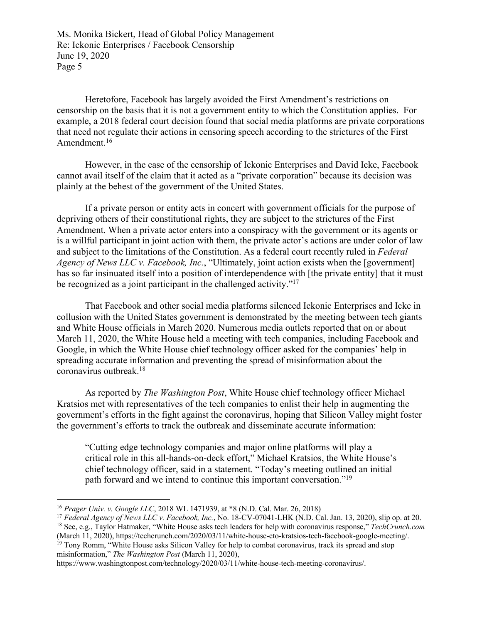Heretofore, Facebook has largely avoided the First Amendment's restrictions on censorship on the basis that it is not a government entity to which the Constitution applies. For example, a 2018 federal court decision found that social media platforms are private corporations that need not regulate their actions in censoring speech according to the strictures of the First Amendment.<sup>16</sup>

However, in the case of the censorship of Ickonic Enterprises and David Icke, Facebook cannot avail itself of the claim that it acted as a "private corporation" because its decision was plainly at the behest of the government of the United States.

If a private person or entity acts in concert with government officials for the purpose of depriving others of their constitutional rights, they are subject to the strictures of the First Amendment. When a private actor enters into a conspiracy with the government or its agents or is a willful participant in joint action with them, the private actor's actions are under color of law and subject to the limitations of the Constitution. As a federal court recently ruled in *Federal Agency of News LLC v. Facebook, Inc.*, "Ultimately, joint action exists when the [government] has so far insinuated itself into a position of interdependence with [the private entity] that it must be recognized as a joint participant in the challenged activity."<sup>17</sup>

That Facebook and other social media platforms silenced Ickonic Enterprises and Icke in collusion with the United States government is demonstrated by the meeting between tech giants and White House officials in March 2020. Numerous media outlets reported that on or about March 11, 2020, the White House held a meeting with tech companies, including Facebook and Google, in which the White House chief technology officer asked for the companies' help in spreading accurate information and preventing the spread of misinformation about the coronavirus outbreak. 18

As reported by *The Washington Post*, White House chief technology officer Michael Kratsios met with representatives of the tech companies to enlist their help in augmenting the government's efforts in the fight against the coronavirus, hoping that Silicon Valley might foster the government's efforts to track the outbreak and disseminate accurate information:

"Cutting edge technology companies and major online platforms will play a critical role in this all-hands-on-deck effort," Michael Kratsios, the White House's chief technology officer, said in a statement. "Today's meeting outlined an initial path forward and we intend to continue this important conversation."19

<sup>19</sup> Tony Romm, "White House asks Silicon Valley for help to combat coronavirus, track its spread and stop misinformation," *The Washington Post* (March 11, 2020),

https://www.washingtonpost.com/technology/2020/03/11/white-house-tech-meeting-coronavirus/.

<sup>16</sup> *Prager Univ. v. Google LLC*, 2018 WL 1471939, at \*8 (N.D. Cal. Mar. 26, 2018)

<sup>17</sup> *Federal Agency of News LLC v. Facebook, Inc.*, No. 18-CV-07041-LHK (N.D. Cal. Jan. 13, 2020), slip op. at 20.

<sup>18</sup> See, e.g., Taylor Hatmaker, "White House asks tech leaders for help with coronavirus response," *TechCrunch.com* (March 11, 2020), https://techcrunch.com/2020/03/11/white-house-cto-kratsios-tech-facebook-google-meeting/.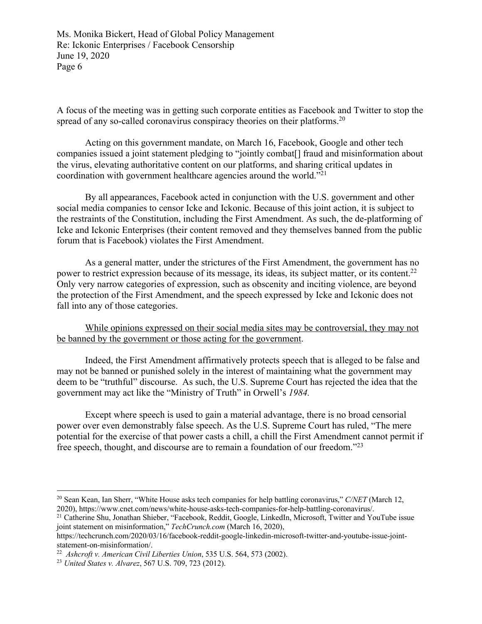A focus of the meeting was in getting such corporate entities as Facebook and Twitter to stop the spread of any so-called coronavirus conspiracy theories on their platforms.<sup>20</sup>

Acting on this government mandate, on March 16, Facebook, Google and other tech companies issued a joint statement pledging to "jointly combat[] fraud and misinformation about the virus, elevating authoritative content on our platforms, and sharing critical updates in coordination with government healthcare agencies around the world."21

By all appearances, Facebook acted in conjunction with the U.S. government and other social media companies to censor Icke and Ickonic. Because of this joint action, it is subject to the restraints of the Constitution, including the First Amendment. As such, the de-platforming of Icke and Ickonic Enterprises (their content removed and they themselves banned from the public forum that is Facebook) violates the First Amendment.

As a general matter, under the strictures of the First Amendment, the government has no power to restrict expression because of its message, its ideas, its subject matter, or its content.22 Only very narrow categories of expression, such as obscenity and inciting violence, are beyond the protection of the First Amendment, and the speech expressed by Icke and Ickonic does not fall into any of those categories.

While opinions expressed on their social media sites may be controversial, they may not be banned by the government or those acting for the government.

Indeed, the First Amendment affirmatively protects speech that is alleged to be false and may not be banned or punished solely in the interest of maintaining what the government may deem to be "truthful" discourse. As such, the U.S. Supreme Court has rejected the idea that the government may act like the "Ministry of Truth" in Orwell's *1984.*

Except where speech is used to gain a material advantage, there is no broad censorial power over even demonstrably false speech. As the U.S. Supreme Court has ruled, "The mere potential for the exercise of that power casts a chill, a chill the First Amendment cannot permit if free speech, thought, and discourse are to remain a foundation of our freedom."23

<sup>20</sup> Sean Kean, Ian Sherr, "White House asks tech companies for help battling coronavirus," *C/NET* (March 12, 2020), https://www.cnet.com/news/white-house-asks-tech-companies-for-help-battling-coronavirus/.

<sup>&</sup>lt;sup>21</sup> Catherine Shu, Jonathan Shieber, "Facebook, Reddit, Google, LinkedIn, Microsoft, Twitter and YouTube issue joint statement on misinformation," *TechCrunch.com* (March 16, 2020),

https://techcrunch.com/2020/03/16/facebook-reddit-google-linkedin-microsoft-twitter-and-youtube-issue-jointstatement-on-misinformation/.

<sup>22</sup> *Ashcroft v. American Civil Liberties Union*, 535 U.S. 564, 573 (2002).

<sup>23</sup> *United States v. Alvarez*, 567 U.S. 709, 723 (2012).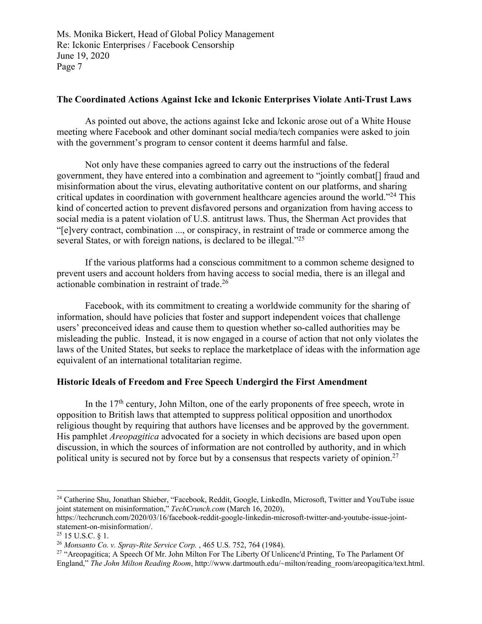## **The Coordinated Actions Against Icke and Ickonic Enterprises Violate Anti-Trust Laws**

As pointed out above, the actions against Icke and Ickonic arose out of a White House meeting where Facebook and other dominant social media/tech companies were asked to join with the government's program to censor content it deems harmful and false.

Not only have these companies agreed to carry out the instructions of the federal government, they have entered into a combination and agreement to "jointly combat[] fraud and misinformation about the virus, elevating authoritative content on our platforms, and sharing critical updates in coordination with government healthcare agencies around the world."24 This kind of concerted action to prevent disfavored persons and organization from having access to social media is a patent violation of U.S. antitrust laws. Thus, the Sherman Act provides that "[e]very contract, combination ..., or conspiracy, in restraint of trade or commerce among the several States, or with foreign nations, is declared to be illegal."<sup>25</sup>

If the various platforms had a conscious commitment to a common scheme designed to prevent users and account holders from having access to social media, there is an illegal and actionable combination in restraint of trade.26

Facebook, with its commitment to creating a worldwide community for the sharing of information, should have policies that foster and support independent voices that challenge users' preconceived ideas and cause them to question whether so-called authorities may be misleading the public. Instead, it is now engaged in a course of action that not only violates the laws of the United States, but seeks to replace the marketplace of ideas with the information age equivalent of an international totalitarian regime.

## **Historic Ideals of Freedom and Free Speech Undergird the First Amendment**

In the  $17<sup>th</sup>$  century, John Milton, one of the early proponents of free speech, wrote in opposition to British laws that attempted to suppress political opposition and unorthodox religious thought by requiring that authors have licenses and be approved by the government. His pamphlet *Areopagitica* advocated for a society in which decisions are based upon open discussion, in which the sources of information are not controlled by authority, and in which political unity is secured not by force but by a consensus that respects variety of opinion.<sup>27</sup>

<sup>&</sup>lt;sup>24</sup> Catherine Shu, Jonathan Shieber, "Facebook, Reddit, Google, LinkedIn, Microsoft, Twitter and YouTube issue joint statement on misinformation," *TechCrunch.com* (March 16, 2020),

https://techcrunch.com/2020/03/16/facebook-reddit-google-linkedin-microsoft-twitter-and-youtube-issue-jointstatement-on-misinformation/.

 $25$  15 U.S.C.  $§$  1.

<sup>26</sup> *Monsanto Co. v. Spray-Rite Service Corp.* , 465 U.S. 752, 764 (1984).

<sup>&</sup>lt;sup>27</sup> "Areopagitica; A Speech Of Mr. John Milton For The Liberty Of Unlicenc'd Printing, To The Parlament Of England," *The John Milton Reading Room*, http://www.dartmouth.edu/~milton/reading\_room/areopagitica/text.html.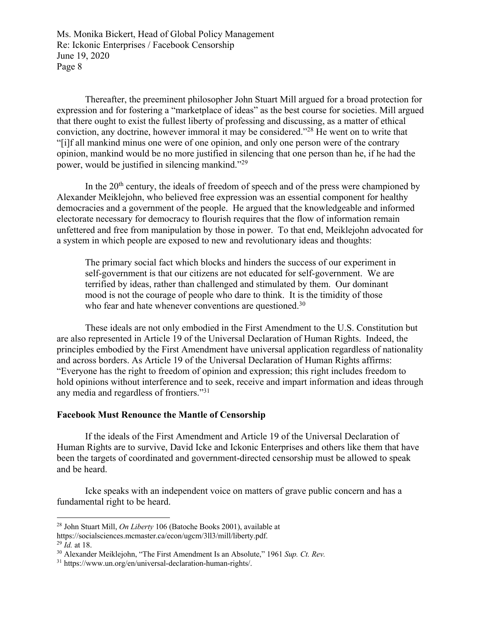Thereafter, the preeminent philosopher John Stuart Mill argued for a broad protection for expression and for fostering a "marketplace of ideas" as the best course for societies. Mill argued that there ought to exist the fullest liberty of professing and discussing, as a matter of ethical conviction, any doctrine, however immoral it may be considered."28 He went on to write that "[i]f all mankind minus one were of one opinion, and only one person were of the contrary opinion, mankind would be no more justified in silencing that one person than he, if he had the power, would be justified in silencing mankind."29

In the  $20<sup>th</sup>$  century, the ideals of freedom of speech and of the press were championed by Alexander Meiklejohn, who believed free expression was an essential component for healthy democracies and a government of the people. He argued that the knowledgeable and informed electorate necessary for democracy to flourish requires that the flow of information remain unfettered and free from manipulation by those in power. To that end, Meiklejohn advocated for a system in which people are exposed to new and revolutionary ideas and thoughts:

The primary social fact which blocks and hinders the success of our experiment in self-government is that our citizens are not educated for self-government. We are terrified by ideas, rather than challenged and stimulated by them. Our dominant mood is not the courage of people who dare to think. It is the timidity of those who fear and hate whenever conventions are questioned.<sup>30</sup>

These ideals are not only embodied in the First Amendment to the U.S. Constitution but are also represented in Article 19 of the Universal Declaration of Human Rights. Indeed, the principles embodied by the First Amendment have universal application regardless of nationality and across borders. As Article 19 of the Universal Declaration of Human Rights affirms: "Everyone has the right to freedom of opinion and expression; this right includes freedom to hold opinions without interference and to seek, receive and impart information and ideas through any media and regardless of frontiers."31

### **Facebook Must Renounce the Mantle of Censorship**

If the ideals of the First Amendment and Article 19 of the Universal Declaration of Human Rights are to survive, David Icke and Ickonic Enterprises and others like them that have been the targets of coordinated and government-directed censorship must be allowed to speak and be heard.

Icke speaks with an independent voice on matters of grave public concern and has a fundamental right to be heard.

<sup>28</sup> John Stuart Mill, *On Liberty* 106 (Batoche Books 2001), available at

https://socialsciences.mcmaster.ca/econ/ugcm/3ll3/mill/liberty.pdf. <sup>29</sup> *Id.* at 18.

<sup>30</sup> Alexander Meiklejohn, "The First Amendment Is an Absolute," 1961 *Sup. Ct. Rev.*

<sup>31</sup> https://www.un.org/en/universal-declaration-human-rights/.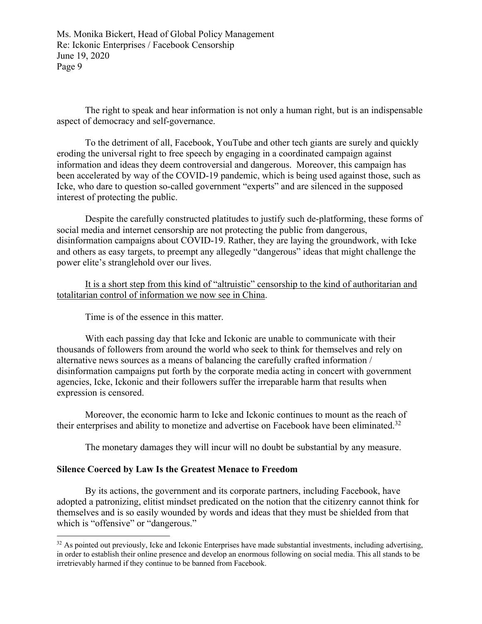The right to speak and hear information is not only a human right, but is an indispensable aspect of democracy and self-governance.

To the detriment of all, Facebook, YouTube and other tech giants are surely and quickly eroding the universal right to free speech by engaging in a coordinated campaign against information and ideas they deem controversial and dangerous. Moreover, this campaign has been accelerated by way of the COVID-19 pandemic, which is being used against those, such as Icke, who dare to question so-called government "experts" and are silenced in the supposed interest of protecting the public.

Despite the carefully constructed platitudes to justify such de-platforming, these forms of social media and internet censorship are not protecting the public from dangerous, disinformation campaigns about COVID-19. Rather, they are laying the groundwork, with Icke and others as easy targets, to preempt any allegedly "dangerous" ideas that might challenge the power elite's stranglehold over our lives.

It is a short step from this kind of "altruistic" censorship to the kind of authoritarian and totalitarian control of information we now see in China.

Time is of the essence in this matter.

With each passing day that Icke and Ickonic are unable to communicate with their thousands of followers from around the world who seek to think for themselves and rely on alternative news sources as a means of balancing the carefully crafted information / disinformation campaigns put forth by the corporate media acting in concert with government agencies, Icke, Ickonic and their followers suffer the irreparable harm that results when expression is censored.

Moreover, the economic harm to Icke and Ickonic continues to mount as the reach of their enterprises and ability to monetize and advertise on Facebook have been eliminated.<sup>32</sup>

The monetary damages they will incur will no doubt be substantial by any measure.

#### **Silence Coerced by Law Is the Greatest Menace to Freedom**

By its actions, the government and its corporate partners, including Facebook, have adopted a patronizing, elitist mindset predicated on the notion that the citizenry cannot think for themselves and is so easily wounded by words and ideas that they must be shielded from that which is "offensive" or "dangerous."

 $32$  As pointed out previously, Icke and Ickonic Enterprises have made substantial investments, including advertising, in order to establish their online presence and develop an enormous following on social media. This all stands to be irretrievably harmed if they continue to be banned from Facebook.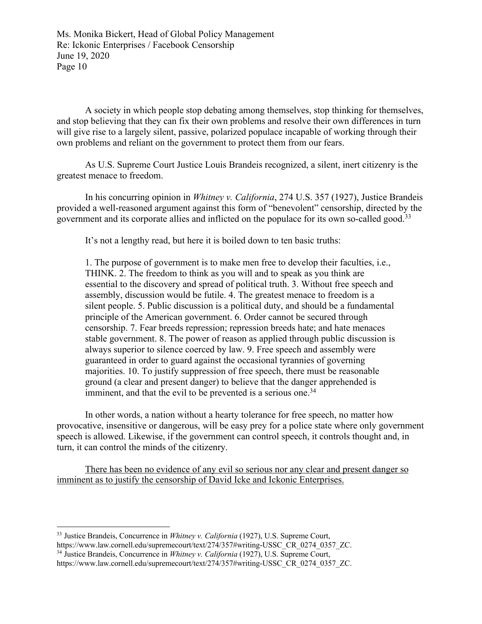A society in which people stop debating among themselves, stop thinking for themselves, and stop believing that they can fix their own problems and resolve their own differences in turn will give rise to a largely silent, passive, polarized populace incapable of working through their own problems and reliant on the government to protect them from our fears.

As U.S. Supreme Court Justice Louis Brandeis recognized, a silent, inert citizenry is the greatest menace to freedom.

In his concurring opinion in *Whitney v. California*, 274 U.S. 357 (1927), Justice Brandeis provided a well-reasoned argument against this form of "benevolent" censorship, directed by the government and its corporate allies and inflicted on the populace for its own so-called good.<sup>33</sup>

It's not a lengthy read, but here it is boiled down to ten basic truths:

1. The purpose of government is to make men free to develop their faculties, i.e., THINK. 2. The freedom to think as you will and to speak as you think are essential to the discovery and spread of political truth. 3. Without free speech and assembly, discussion would be futile. 4. The greatest menace to freedom is a silent people. 5. Public discussion is a political duty, and should be a fundamental principle of the American government. 6. Order cannot be secured through censorship. 7. Fear breeds repression; repression breeds hate; and hate menaces stable government. 8. The power of reason as applied through public discussion is always superior to silence coerced by law. 9. Free speech and assembly were guaranteed in order to guard against the occasional tyrannies of governing majorities. 10. To justify suppression of free speech, there must be reasonable ground (a clear and present danger) to believe that the danger apprehended is imminent, and that the evil to be prevented is a serious one.<sup>34</sup>

In other words, a nation without a hearty tolerance for free speech, no matter how provocative, insensitive or dangerous, will be easy prey for a police state where only government speech is allowed. Likewise, if the government can control speech, it controls thought and, in turn, it can control the minds of the citizenry.

There has been no evidence of any evil so serious nor any clear and present danger so imminent as to justify the censorship of David Icke and Ickonic Enterprises.

<sup>33</sup> Justice Brandeis, Concurrence in *Whitney v. California* (1927), U.S. Supreme Court,

https://www.law.cornell.edu/supremecourt/text/274/357#writing-USSC\_CR\_0274\_0357\_ZC.

<sup>34</sup> Justice Brandeis, Concurrence in *Whitney v. California* (1927), U.S. Supreme Court,

https://www.law.cornell.edu/supremecourt/text/274/357#writing-USSC\_CR\_0274\_0357\_ZC.